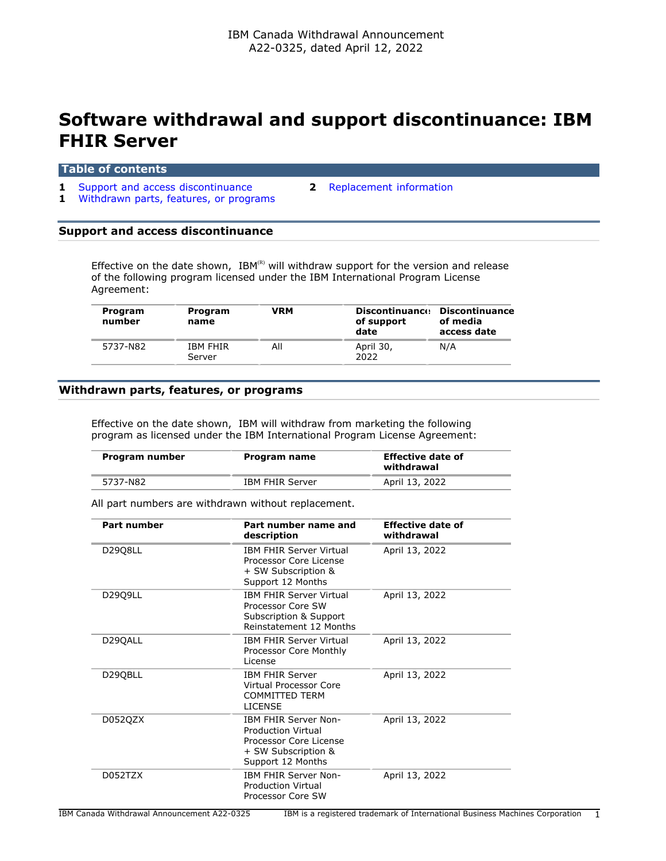## **Software withdrawal and support discontinuance: IBM FHIR Server**

## **Table of contents**

- **1** [Support and access discontinuance](#page-0-0) **2** [Replacement information](#page-1-0) **1** [Withdrawn parts, features, or programs](#page-0-1)
	-

# <span id="page-0-0"></span>**Support and access discontinuance**

Effective on the date shown,  $IBM^{(R)}$  will withdraw support for the version and release of the following program licensed under the IBM International Program License Agreement:

| Program<br>number | Program<br>name           | VRM | <b>Discontinuance</b><br>of support<br>date | Discontinuance<br>of media<br>access date |
|-------------------|---------------------------|-----|---------------------------------------------|-------------------------------------------|
| 5737-N82          | <b>IBM FHIR</b><br>Server | All | April 30,<br>2022                           | N/A                                       |

## <span id="page-0-1"></span>**Withdrawn parts, features, or programs**

Effective on the date shown, IBM will withdraw from marketing the following program as licensed under the IBM International Program License Agreement:

| Program number | Program name           | <b>Effective date of</b><br>withdrawal |
|----------------|------------------------|----------------------------------------|
| 5737-N82       | <b>IBM FHIR Server</b> | April 13, 2022                         |
|                |                        |                                        |

All part numbers are withdrawn without replacement.

| <b>Part number</b>                                                                                                                 | Part number name and<br>description                                                                      | <b>Effective date of</b><br>withdrawal |
|------------------------------------------------------------------------------------------------------------------------------------|----------------------------------------------------------------------------------------------------------|----------------------------------------|
| D29Q8LL                                                                                                                            | <b>IBM FHIR Server Virtual</b><br>Processor Core License<br>+ SW Subscription &<br>Support 12 Months     | April 13, 2022                         |
| D2909LL                                                                                                                            | <b>IBM FHIR Server Virtual</b><br>Processor Core SW<br>Subscription & Support<br>Reinstatement 12 Months | April 13, 2022                         |
| D29QALL                                                                                                                            | <b>IBM FHIR Server Virtual</b><br>Processor Core Monthly<br>License                                      | April 13, 2022                         |
| D29QBLL                                                                                                                            | <b>IBM FHIR Server</b><br>Virtual Processor Core<br><b>COMMITTED TERM</b><br><b>LICENSE</b>              | April 13, 2022                         |
| <b>IBM FHIR Server Non-</b><br>D052QZX<br>Production Virtual<br>Processor Core License<br>+ SW Subscription &<br>Support 12 Months |                                                                                                          | April 13, 2022                         |
| D052TZX                                                                                                                            | <b>IBM FHIR Server Non-</b><br><b>Production Virtual</b><br>Processor Core SW                            | April 13, 2022                         |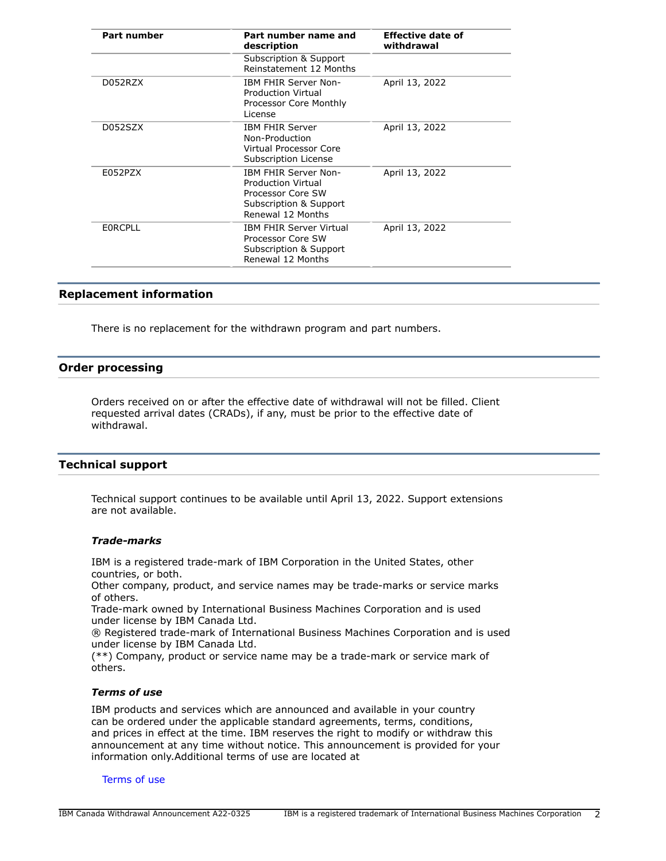| <b>Part number</b> | Part number name and<br>description                                                                                          | <b>Effective date of</b><br>withdrawal |  |
|--------------------|------------------------------------------------------------------------------------------------------------------------------|----------------------------------------|--|
|                    | Subscription & Support<br>Reinstatement 12 Months                                                                            |                                        |  |
| D052RZX            | <b>IBM FHIR Server Non-</b><br><b>Production Virtual</b><br>Processor Core Monthly<br>License                                | April 13, 2022                         |  |
| D052SZX            | <b>IBM FHIR Server</b><br>Non-Production<br>Virtual Processor Core<br>Subscription License                                   | April 13, 2022                         |  |
| E052PZX            | <b>IBM FHIR Server Non-</b><br><b>Production Virtual</b><br>Processor Core SW<br>Subscription & Support<br>Renewal 12 Months | April 13, 2022                         |  |
| <b>EORCPLL</b>     | <b>IBM FHIR Server Virtual</b><br>Processor Core SW<br>Subscription & Support<br>Renewal 12 Months                           | April 13, 2022                         |  |

## <span id="page-1-0"></span>**Replacement information**

There is no replacement for the withdrawn program and part numbers.

## **Order processing**

Orders received on or after the effective date of withdrawal will not be filled. Client requested arrival dates (CRADs), if any, must be prior to the effective date of withdrawal.

## **Technical support**

Technical support continues to be available until April 13, 2022. Support extensions are not available.

#### *Trade-marks*

IBM is a registered trade-mark of IBM Corporation in the United States, other countries, or both.

Other company, product, and service names may be trade-marks or service marks of others.

Trade-mark owned by International Business Machines Corporation and is used under license by IBM Canada Ltd.

® Registered trade-mark of International Business Machines Corporation and is used under license by IBM Canada Ltd.

(\*\*) Company, product or service name may be a trade-mark or service mark of others.

## *Terms of use*

IBM products and services which are announced and available in your country can be ordered under the applicable standard agreements, terms, conditions, and prices in effect at the time. IBM reserves the right to modify or withdraw this announcement at any time without notice. This announcement is provided for your information only.Additional terms of use are located at

#### [Terms of use](http://www.ibm.com/legal/us/en/)